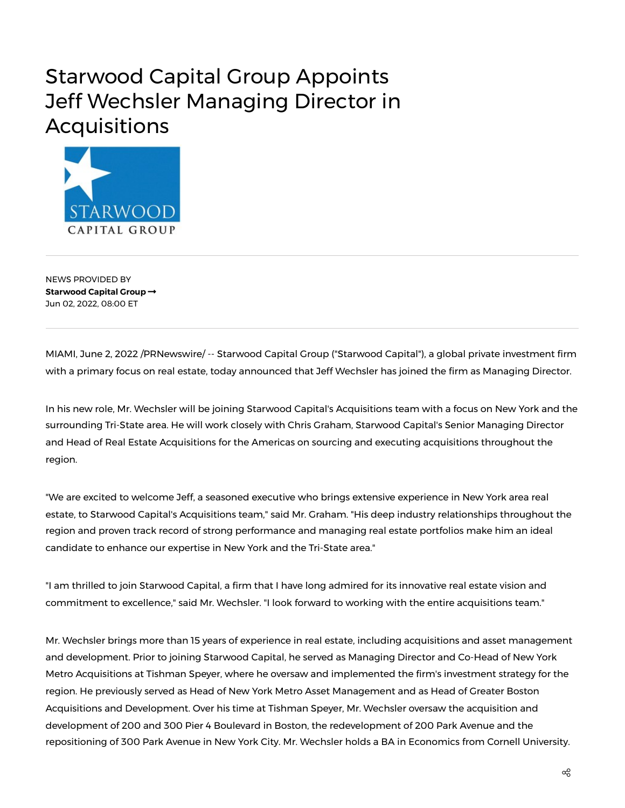## Starwood Capital Group Appoints Jeff Wechsler Managing Director in Acquisitions



NEWS PROVIDED BY **[Starwood](https://www.prnewswire.com/news/starwood-capital-group/) Capital Group** Jun 02, 2022, 08:00 ET

MIAMI, June 2, 2022 /PRNewswire/ -- Starwood Capital Group ("Starwood Capital"), a global private investment firm with a primary focus on real estate, today announced that Jeff Wechsler has joined the firm as Managing Director.

In his new role, Mr. Wechsler will be joining Starwood Capital's Acquisitions team with a focus on New York and the surrounding Tri-State area. He will work closely with Chris Graham, Starwood Capital's Senior Managing Director and Head of Real Estate Acquisitions for the Americas on sourcing and executing acquisitions throughout the region.

"We are excited to welcome Jeff, a seasoned executive who brings extensive experience in New York area real estate, to Starwood Capital's Acquisitions team," said Mr. Graham. "His deep industry relationships throughout the region and proven track record of strong performance and managing real estate portfolios make him an ideal candidate to enhance our expertise in New York and the Tri-State area."

"I am thrilled to join Starwood Capital, a firm that I have long admired for its innovative real estate vision and commitment to excellence," said Mr. Wechsler. "I look forward to working with the entire acquisitions team."

Mr. Wechsler brings more than 15 years of experience in real estate, including acquisitions and asset management and development. Prior to joining Starwood Capital, he served as Managing Director and Co-Head of New York Metro Acquisitions at Tishman Speyer, where he oversaw and implemented the firm's investment strategy for the region. He previously served as Head of New York Metro Asset Management and as Head of Greater Boston Acquisitions and Development. Over his time at Tishman Speyer, Mr. Wechsler oversaw the acquisition and development of 200 and 300 Pier 4 Boulevard in Boston, the redevelopment of 200 Park Avenue and the repositioning of 300 Park Avenue in New York City. Mr. Wechsler holds a BA in Economics from Cornell University.